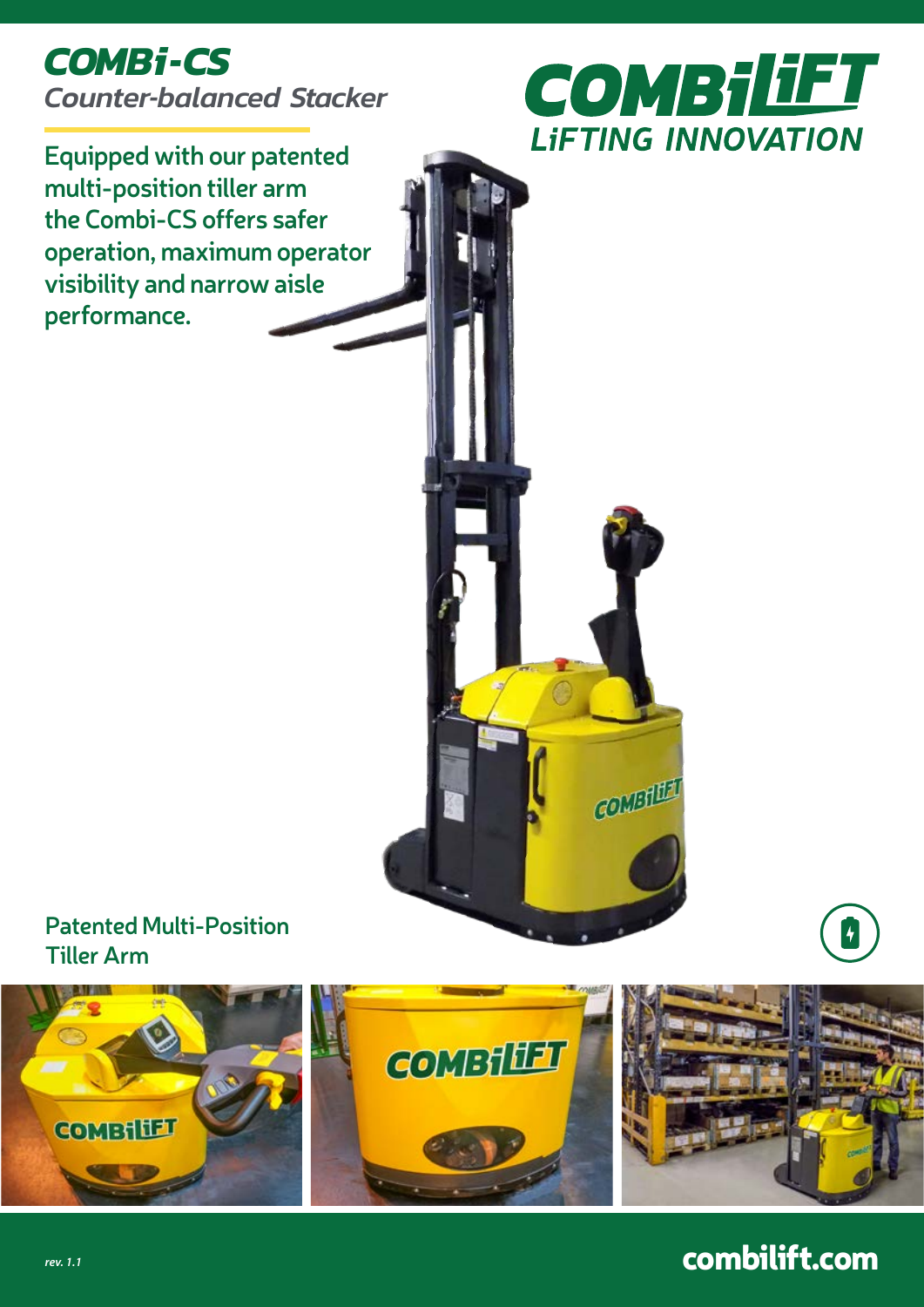# *COMBi-CS Counter-balanced Stacker*



COMBILET

**Equipped with our patented multi-position tiller arm the Combi-CS offers safer operation, maximum operator visibility and narrow aisle performance.**





# combilift.com

 $\overline{r}$